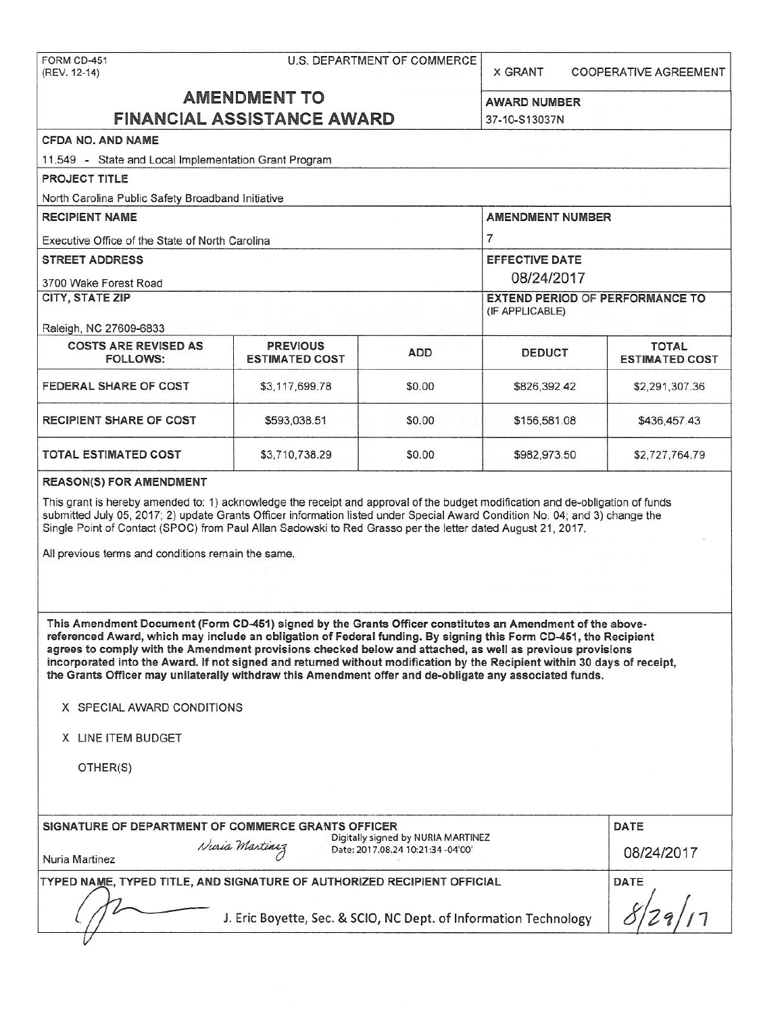| FORM CD-451<br>(REV. 12-14)                                                                                                                                                                                                                                                                                                                                                                                                                                                                                                                                                       | <b>U.S. DEPARTMENT OF COMMERCE</b><br><b>X GRANT</b><br>COOPERATIVE AGREEMENT |                                      |                                                           |                                       |  |  |  |
|-----------------------------------------------------------------------------------------------------------------------------------------------------------------------------------------------------------------------------------------------------------------------------------------------------------------------------------------------------------------------------------------------------------------------------------------------------------------------------------------------------------------------------------------------------------------------------------|-------------------------------------------------------------------------------|--------------------------------------|-----------------------------------------------------------|---------------------------------------|--|--|--|
|                                                                                                                                                                                                                                                                                                                                                                                                                                                                                                                                                                                   | <b>AMENDMENT TO</b><br><b>FINANCIAL ASSISTANCE AWARD</b>                      | <b>AWARD NUMBER</b><br>37-10-S13037N |                                                           |                                       |  |  |  |
| <b>CFDA NO. AND NAME</b>                                                                                                                                                                                                                                                                                                                                                                                                                                                                                                                                                          |                                                                               |                                      |                                                           |                                       |  |  |  |
| 11.549 - State and Local Implementation Grant Program                                                                                                                                                                                                                                                                                                                                                                                                                                                                                                                             |                                                                               |                                      |                                                           |                                       |  |  |  |
| PROJECT TITLE                                                                                                                                                                                                                                                                                                                                                                                                                                                                                                                                                                     |                                                                               |                                      |                                                           |                                       |  |  |  |
| North Carolina Public Safety Broadband Initiative                                                                                                                                                                                                                                                                                                                                                                                                                                                                                                                                 |                                                                               |                                      |                                                           |                                       |  |  |  |
| <b>RECIPIENT NAME</b>                                                                                                                                                                                                                                                                                                                                                                                                                                                                                                                                                             |                                                                               | <b>AMENDMENT NUMBER</b>              |                                                           |                                       |  |  |  |
| Executive Office of the State of North Carolina                                                                                                                                                                                                                                                                                                                                                                                                                                                                                                                                   |                                                                               |                                      | $\overline{7}$                                            |                                       |  |  |  |
| <b>STREET ADDRESS</b>                                                                                                                                                                                                                                                                                                                                                                                                                                                                                                                                                             |                                                                               |                                      | EFFECTIVE DATE                                            |                                       |  |  |  |
| 3700 Wake Forest Road                                                                                                                                                                                                                                                                                                                                                                                                                                                                                                                                                             |                                                                               |                                      | 08/24/2017                                                |                                       |  |  |  |
| CITY, STATE ZIP                                                                                                                                                                                                                                                                                                                                                                                                                                                                                                                                                                   |                                                                               |                                      | <b>EXTEND PERIOD OF PERFORMANCE TO</b><br>(IF APPLICABLE) |                                       |  |  |  |
| Raleigh, NC 27609-6833                                                                                                                                                                                                                                                                                                                                                                                                                                                                                                                                                            |                                                                               |                                      |                                                           |                                       |  |  |  |
| <b>COSTS ARE REVISED AS</b><br>FOLLOWS:                                                                                                                                                                                                                                                                                                                                                                                                                                                                                                                                           | <b>PREVIOUS</b><br><b>ESTIMATED COST</b>                                      | <b>ADD</b><br><b>DEDUCT</b>          |                                                           | <b>TOTAL</b><br><b>ESTIMATED COST</b> |  |  |  |
| FEDERAL SHARE OF COST                                                                                                                                                                                                                                                                                                                                                                                                                                                                                                                                                             | \$3,117,699.78                                                                | \$0.00                               | \$826,392.42                                              | \$2,291,307.36                        |  |  |  |
| <b>RECIPIENT SHARE OF COST</b>                                                                                                                                                                                                                                                                                                                                                                                                                                                                                                                                                    | \$593,038.51                                                                  | \$0.00                               | \$156,581.08                                              | \$436,457.43                          |  |  |  |
| TOTAL ESTIMATED COST                                                                                                                                                                                                                                                                                                                                                                                                                                                                                                                                                              | \$982,973.50                                                                  | \$2,727,764.79                       |                                                           |                                       |  |  |  |
| This grant is hereby amended to: 1) acknowledge the receipt and approval of the budget modification and de-obligation of funds<br>submitted July 05, 2017; 2) update Grants Officer information listed under Special Award Condition No. 04; and 3) change the<br>Single Point of Contact (SPOC) from Paul Allan Sadowski to Red Grasso per the letter dated August 21, 2017.<br>All previous terms and conditions remain the same.                                                                                                                                               |                                                                               |                                      |                                                           |                                       |  |  |  |
| This Amendment Document (Form CD-451) signed by the Grants Officer constitutes an Amendment of the above-<br>referenced Award, which may include an obligation of Federal funding. By signing this Form CD-451, the Recipient<br>agrees to comply with the Amendment provisions checked below and attached, as well as previous provisions<br>incorporated into the Award. If not signed and returned without modification by the Recipient within 30 days of receipt,<br>the Grants Officer may unilaterally withdraw this Amendment offer and de-obligate any associated funds. |                                                                               |                                      |                                                           |                                       |  |  |  |
| X SPECIAL AWARD CONDITIONS                                                                                                                                                                                                                                                                                                                                                                                                                                                                                                                                                        |                                                                               |                                      |                                                           |                                       |  |  |  |
| X LINE ITEM BUDGET                                                                                                                                                                                                                                                                                                                                                                                                                                                                                                                                                                |                                                                               |                                      |                                                           |                                       |  |  |  |
| OTHER(S)                                                                                                                                                                                                                                                                                                                                                                                                                                                                                                                                                                          |                                                                               |                                      |                                                           |                                       |  |  |  |
| SIGNATURE OF DEPARTMENT OF COMMERCE GRANTS OFFICER                                                                                                                                                                                                                                                                                                                                                                                                                                                                                                                                |                                                                               |                                      |                                                           | <b>DATE</b>                           |  |  |  |
| Nuria Martinez<br>Nuria Martinez                                                                                                                                                                                                                                                                                                                                                                                                                                                                                                                                                  | Digitally signed by NURIA MARTINEZ<br>Date: 2017.08.24 10:21:34 -04'00'       | 08/24/2017                           |                                                           |                                       |  |  |  |
| TYPED NAME, TYPED TITLE, AND SIGNATURE OF AUTHORIZED RECIPIENT OFFICIAL                                                                                                                                                                                                                                                                                                                                                                                                                                                                                                           |                                                                               |                                      |                                                           | DATE                                  |  |  |  |
| J. Eric Boyette, Sec. & SCIO, NC Dept. of Information Technology                                                                                                                                                                                                                                                                                                                                                                                                                                                                                                                  |                                                                               |                                      |                                                           |                                       |  |  |  |
|                                                                                                                                                                                                                                                                                                                                                                                                                                                                                                                                                                                   |                                                                               |                                      |                                                           |                                       |  |  |  |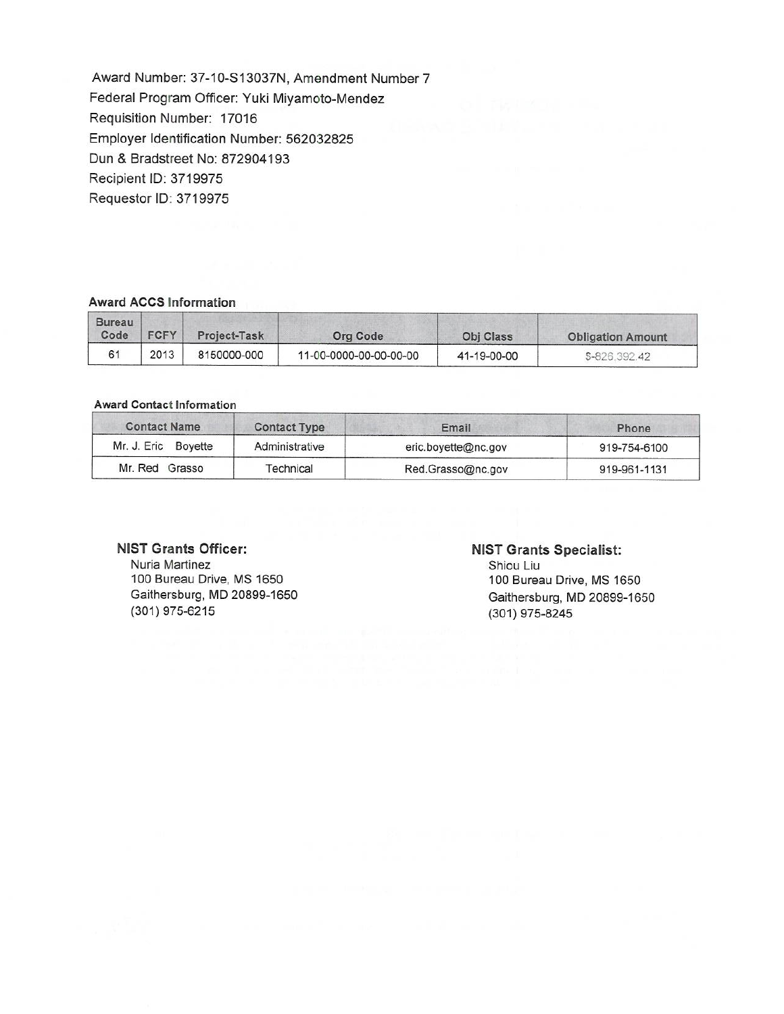Award Number: 37-10-S13037N, Amendment Number 7 Federal Program Officer: Yuki Miyamoto-Mendez Requisition Number: 17016 Employer Identification Number: 562032825 Dun & Bradstreet No: 872904193 Recipient ID: 3719975 Requestor ID: 3719975

### **Award ACCS Information**

| Bureau<br>Code | <b>FCFY</b> | Project-Task | Org Code               | <b>Obi Class</b> | <b>Obligation Amount</b> |
|----------------|-------------|--------------|------------------------|------------------|--------------------------|
| 61             | 2013        | 8150000-000  | 11-00-0000-00-00-00-00 | 41-19-00-00      | \$-826,392.42            |

#### **Award Contact Information**

| <b>Contact Name</b> | <b>Contact Type</b> | Email               | Phone        |  |  |
|---------------------|---------------------|---------------------|--------------|--|--|
| Mr. J. Eric Boyette | Administrative      | eric.boyette@nc.gov | 919-754-6100 |  |  |
| Mr. Red Grasso      | Technical           | Red.Grasso@nc.gov   | 919-961-1131 |  |  |

#### **NIST Grants Officer:**

Nuria Martinez 100 Bureau Drive, MS 1650 Gaithersburg, MD 20899-1650 (301) 975-6215

#### **NIST Grants Specialist:**

Shiou Liu 100 Bureau Drive, MS 1650 Gaithersburg, MD 20899-1650 (301) 975-8245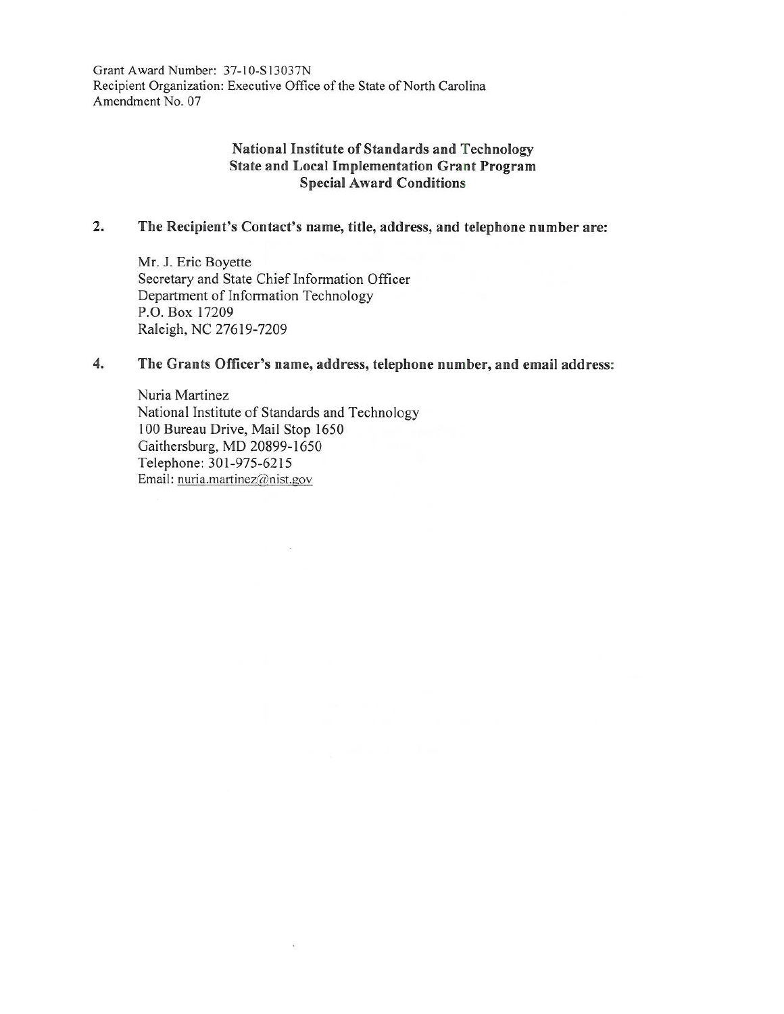Grant Award Number: 37-I0-S13037N Recipient Organization: Executive Office of the State of North Carolina Amendment No. 07

## **National Institute of Standards and Technology State and Local Implementation Grant Program Special Award Conditions**

# **2. The Recipient's Contact's name, title, address, and telephone number are:**

Mr. J. Eric Boyette Secretary and State Chief Information Officer Department of Information Technology P.O. Box 17209 Raleigh, NC 27619-7209

## **4. The Grants Officer's name, address, telephone number, and email address:**

Nuria Martinez National Institute of Standards and Technology 100 Bureau Drive, Mail Stop 1650 Gaithersburg, MD 20899-1650 Telephone: 301-975-6215 Email: nuria.martinez@nist.gov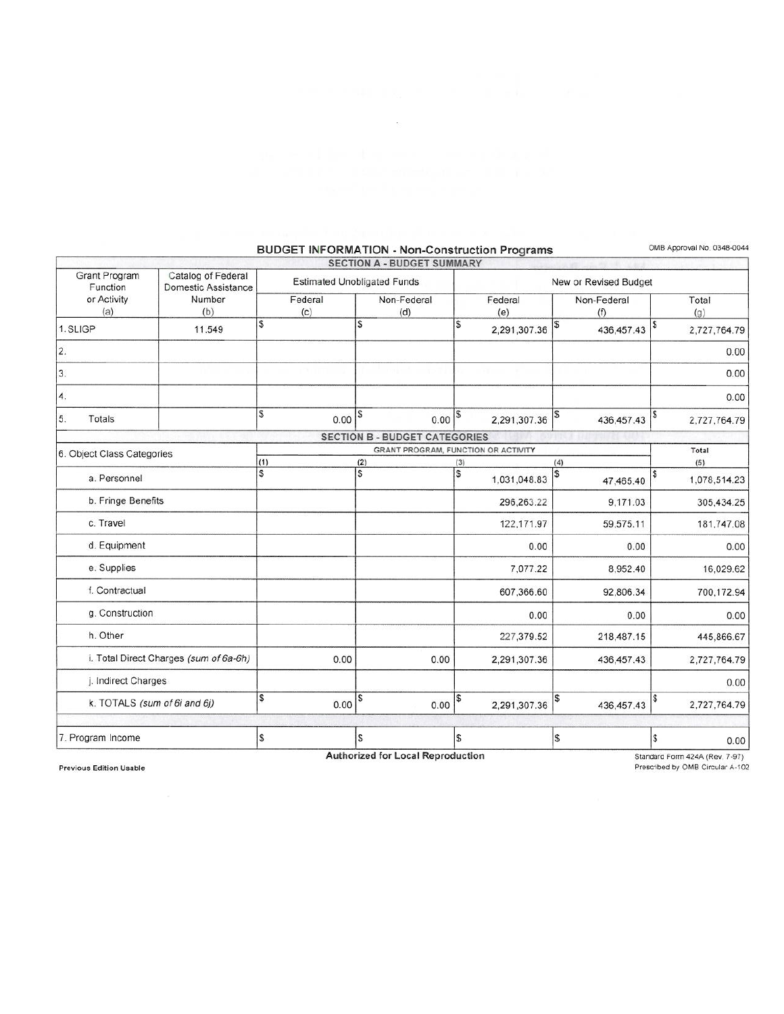#### Grant Program Catalog of Federal<br>Function Domestic Assistance Domestic Assistance or Activity | Number  $(a)$  (b) 1. SLIGP 11.549 2. 3. 4. 5 Totals 6. Object Class Categories a. Personnel b. Fringe Benefits c. Travel d. Equipment e. Supplies f. Contractual g. Construction h. Other i. Total Direct Charges (sum of 6a-6h) j. Indirect Charges **k.** TOTALS (sum of 6i and 6j) 7. Program Income **SECTION A - BUDGET SUMMARY**  Estimated Unobligated Funds Federal Non-Federal Federal (c) (d) (e) \$ s \$ 2,291,307.36  $\begin{array}{|c|c|c|c|}\hline s&0.00 & 0.00 & 0.00 & 0.2291,307.36\hline \end{array}$ **SECTION B - BUDGET CATEGORIES**  GRANT PROGRAM, FUNCTION OR ACTIVITY  $(1)$   $(2)$   $(3)$ \$ \$ s 1,031 ,048.83 296,263.22 122,171.97 0.00 7.07722 607,366.60 0.00 227,379.52 0.00 2,291,307.36  $\frac{1}{\sqrt{3}}$  0.00  $\frac{1}{\sqrt{3}}$  0.00  $\frac{1}{\sqrt{3}}$  2,291,307.36  $\mathbb S$   $\vert \mathbb S$   $\vert \mathbb S$ New or Revised Budget \$ s (4) \$ \$ \$ Non-Federal | Total  $(f)$   $(g)$ 436,457.43 \$ 2,727,764.79 0.00 0.00 0.00 436,457.43 \$ 2,727,764.79 Total **(5)**  47,465.40  $$1,078,514.23$ 9,171 .03 305,434.25 59,575.11 181,747.08 0.00 0.00 8,952.40 16,029.62 92,806.34 700,172.94 0.00 0.00 218,487.15 445,866.67 436,457.43 2,727,764.79 0.00 436,457.43 \$2,727,764.79 \$ 0.00

## **BUDGET INFORMATION - Non-Construction Programs** OMB Approval No. 0348-0044

Previous Edition Usable

**Authorized for Local Reproduction** 

Standard Form 424A (Rev. 7-97) Prescribed by 0MB Circular A-102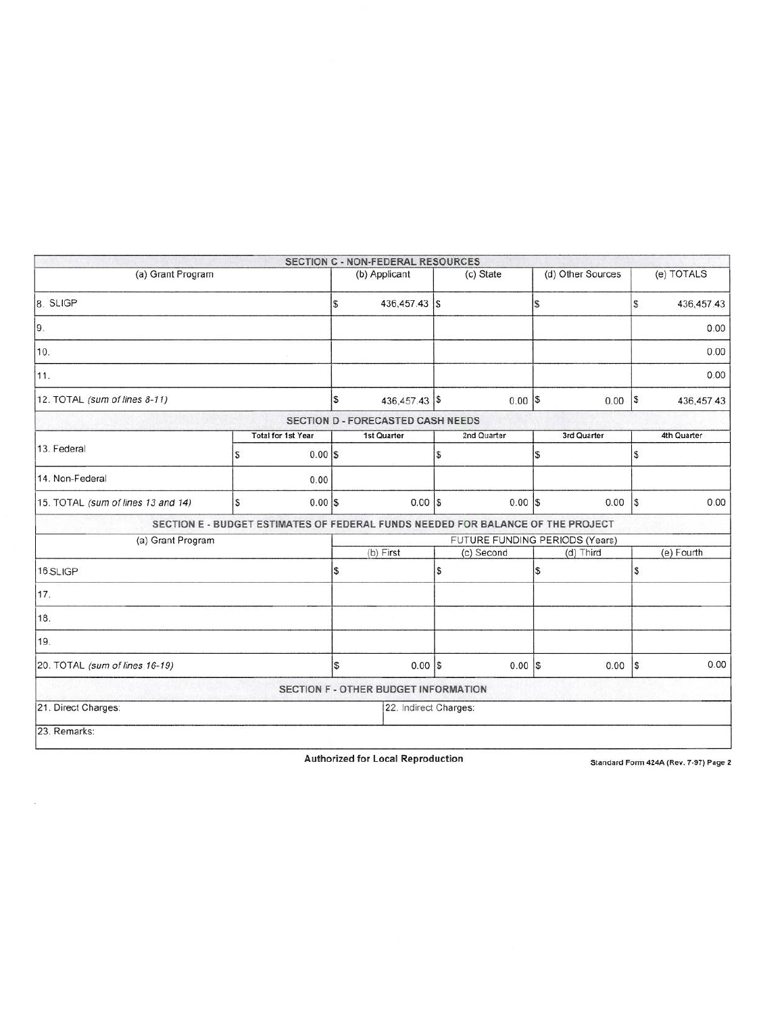|                                    |   |                           |               | SECTION C - NON-FEDERAL RESOURCES        |                   |                                                                                 |             |              |             |
|------------------------------------|---|---------------------------|---------------|------------------------------------------|-------------------|---------------------------------------------------------------------------------|-------------|--------------|-------------|
| (a) Grant Program                  |   |                           | (b) Applicant |                                          | (c) State         | (d) Other Sources                                                               |             | (e) TOTALS   |             |
| 8. SLIGP                           |   |                           | S             | 436,457.43 \$                            |                   |                                                                                 | \$          | S            | 436,457.43  |
| 9.                                 |   |                           |               |                                          |                   |                                                                                 |             |              | 0.00        |
| 10.<br>11.                         |   |                           |               |                                          |                   |                                                                                 |             |              | 0.00        |
|                                    |   |                           |               |                                          |                   |                                                                                 |             |              | 0.00        |
| 12. TOTAL (sum of lines 8-11)      |   | S                         | 436,457.43 \$ |                                          | $0.00$ $\sqrt{s}$ | 0.00                                                                            | $\sqrt{5}$  | 436, 457. 43 |             |
|                                    |   |                           |               | <b>SECTION D - FORECASTED CASH NEEDS</b> |                   |                                                                                 |             |              |             |
|                                    |   | <b>Total for 1st Year</b> |               | 1st Quarter                              |                   | 2nd Quarter                                                                     | 3rd Quarter |              | 4th Quarter |
| 13. Federal                        | S | $0.00$ S                  |               |                                          | \$                |                                                                                 | S           | S            |             |
| 14. Non-Federal                    |   | 0.00                      |               |                                          |                   |                                                                                 |             |              |             |
| 15. TOTAL (sum of lines 13 and 14) | S | $0.00$ S                  |               | $0.00$ $S$                               |                   | $0.00$ $S$                                                                      | 0.00        | ls.          | 0.00        |
|                                    |   |                           |               |                                          |                   | SECTION E - BUDGET ESTIMATES OF FEDERAL FUNDS NEEDED FOR BALANCE OF THE PROJECT |             |              |             |
| (a) Grant Program                  |   |                           |               | FUTURE FUNDING PERIODS (Years)           |                   |                                                                                 |             |              |             |
|                                    |   |                           |               | (b) First                                |                   | (c) Second                                                                      | (d) Third   |              | (e) Fourth  |
| 16.SLIGP                           |   | \$                        |               | l\$                                      |                   | \$                                                                              | \$          |              |             |
| 17.                                |   |                           |               |                                          |                   |                                                                                 |             |              |             |
| 18.                                |   |                           |               |                                          |                   |                                                                                 |             |              |             |
| 19.                                |   |                           |               |                                          |                   |                                                                                 |             |              |             |
| 20. TOTAL (sum of lines 16-19)     |   |                           | S             | $0.00$   \$                              |                   | $0.00$ $S$                                                                      | 0.00        | l\$          | 0.00        |
|                                    |   |                           |               | SECTION F - OTHER BUDGET INFORMATION     |                   |                                                                                 |             |              |             |
| 21. Direct Charges:                |   |                           |               | 22. Indirect Charges:                    |                   |                                                                                 |             |              |             |
| 23. Remarks:                       |   |                           |               |                                          |                   |                                                                                 |             |              |             |

Authorized for Local Reproduction Standard Form 424A (Rev. 7-97) Page 2

 $\sim$